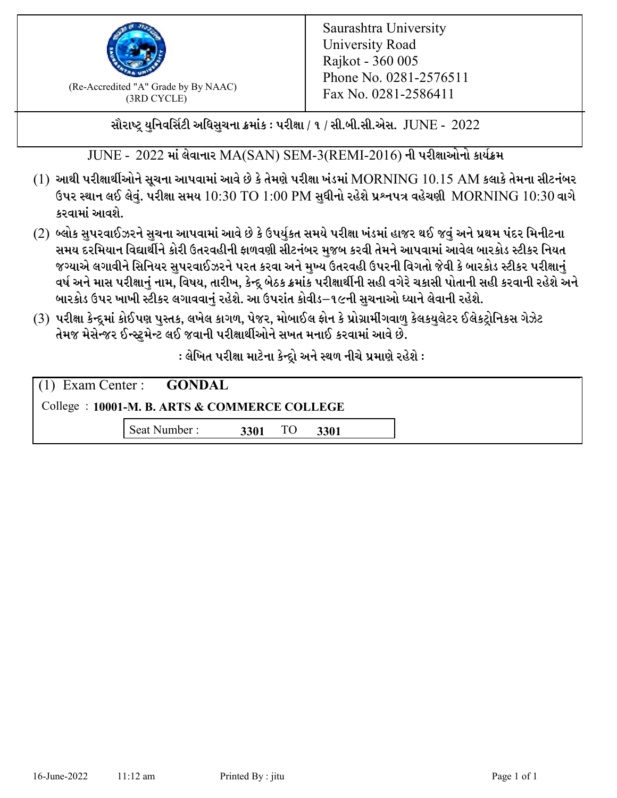

 $F_{\text{R}}$  (Re-Accredited "A" Grade by By NAAC)<br>(3PD CVCLE)<br> $F_{\text{R}}$  No. 0281-2586411 (3RD CYCLE)

સૌરાષ્ટ્ર યુનિવર્સિટી અધિસુચના ક્રમાંક : પરીક્ષા / ૧ / સી.બી.સી.એસ.  $\,$  JUNE -  $\,2022$ 

JUNE - 2022 માં લેવાનાર MA(SAN) SEM-3(REMI-2016) ની પરીક્ષાઓનો કાર્યક્રમ

- $(1)$  આથી પરીક્ષાર્થીઓને સૂચના આપવામાં આવે છે કે તેમણે પરીક્ષા ખંડમાં  $\operatorname{MORNING}$   $10.15$   $\operatorname{AM}$  કલાકે તેમના સીટનંબર ઉપર સ્થાન લઈ લેવું. પરીક્ષા સમય  $10:30 \text{ TO } 1:00 \text{ PM}$  સુધીનો રહેશે પ્રશ્નપત્ર વહેચણી  $\text{MORNING } 10:30$  વાગે કરવામાં આવશે.
- (2) બ્લોક સુપરવાઈઝરને સુચના આપવામાં આવે છે કે ઉપર્યુકત સમયે પરીક્ષા ખંડમાં હાજર થઈ જવું અને પ્રથમ પંદર મિનીટના સમય દરમિયાન વિદ્યાર્થીને કોરી ઉતરવહીની ફાળવણી સીટનંબર મજબ કરવી તેમને આપવામાં આવેલ બારકોડ સ્ટીકર નિયત જગ્યાએ લગાવીને સિનિયર સુપરવાઈઝરને પરત કરવા અને મુખ્ય ઉતરવહી ઉપરની વિગતો જેવી કે બારકોડ સ્ટીકર પરીક્ષ<u>ાન</u>ં વર્ષ અને માસ પરીક્ષાનું નામ, વિષય, તારીખ, કેન્દ્ર બેઠક ક્રમાંક પરીક્ષાર્થીની સહી વગેરે ચકાસી પોતાની સહી કરવાની રહેશે અને બારકોડ ઉપર ખાખી સ્ટીકર લગાવવાનં રહેશે. આ ઉપરાંત કોવીડ–૧૯ની સચનાઓ ધ્યાને લેવાની રહેશે.
- (3) પરીક્ષા કેન્દ્રમાં કોઈપણ પુસ્તક, લખેલ કાગળ, પેજર, મોબાઈલ ફોન કે પ્રોગ્રામીંગવાળુ કેલકયુલેટર ઈલેકટ્રોનિકસ ગેઝેટ તેમજ મેસેન્જર ઈન્સ્ટમેન્ટ લઈ જવાની પરીક્ષાર્થીઓને સખત મનાઈ કરવામાં આવે છે.

: લેખિત પરીક્ષા માટેના કેન્દ્રો અને સ્થળ નીચે પ્રમાણે રહેશે :

|                                               | $(1)$ Exam Center : <b>GONDAL</b> |      |    |      |  |  |
|-----------------------------------------------|-----------------------------------|------|----|------|--|--|
| College : 10001-M. B. ARTS & COMMERCE COLLEGE |                                   |      |    |      |  |  |
|                                               | Seat Number :                     | 3301 | TO | 3301 |  |  |